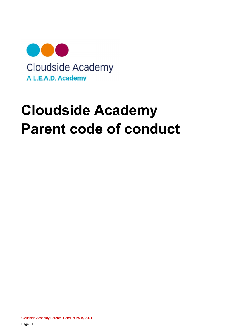

# Cloudside Academy Parent code of conduct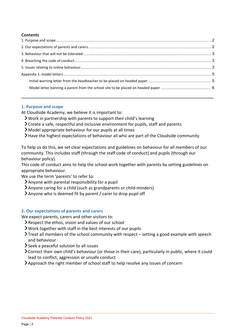## **Contents**

## 1. Purpose and scope

At Cloudside Academy, we believe it is important to:

- Work in partnership with parents to support their child's learning
- $\sum$  Create a safe, respectful and inclusive environment for pupils, staff and parents
- Model appropriate behaviour for our pupils at all times
- Have the highest expectations of behaviour all who are part of the Cloudside community

To help us do this, we set clear expectations and guidelines on behaviour for all members of our community. This includes staff (through the staff code of conduct) and pupils (through our behaviour policy).

This code of conduct aims to help the school work together with parents by setting guidelines on appropriate behaviour.

We use the term 'parents' to refer to:

- Anyone with parental responsibility for a pupil
- Anyone caring for a child (such as grandparents or child-minders)
- Anyone who is deemed fit by parent / carer to drop pupil off

## 2. Our expectations of parents and carers

We expect parents, carers and other visitors to:

- Respect the ethos, vision and values of our school
- Work together with staff in the best interests of our pupils
- $\sum$  Treat all members of the school community with respect setting a good example with speech and behaviour
- Seek a peaceful solution to all issues
- Correct their own child's behaviour (or those in their care), particularly in public, where it could lead to conflict, aggression or unsafe conduct
- Approach the right member of school staff to help resolve any issues of concern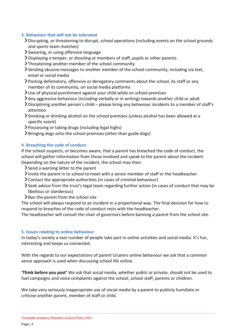## 3. Behaviour that will not be tolerated

- Disrupting, or threatening to disrupt, school operations (including events on the school grounds and sports team matches)
- Swearing, or using offensive language
- Displaying a temper, or shouting at members of staff, pupils or other parents
- Threatening another member of the school community
- Sending abusive messages to another member of the school community, including via text, email or social media
- Posting defamatory, offensive or derogatory comments about the school, its staff or any member of its community, on social media platforms
- Use of physical punishment against your child while on school premises
- Any aggressive behaviour (including verbally or in writing) towards another child or adult
- Disciplining another person's child please bring any behaviour incidents to a member of staff's attention
- Smoking or drinking alcohol on the school premises (unless alcohol has been allowed at a specific event)
- Possessing or taking drugs (including legal highs)
- Bringing dogs onto the school premises (other than guide dogs)

## 4. Breaching the code of conduct

If the school suspects, or becomes aware, that a parent has breached the code of conduct, the school will gather information from those involved and speak to the parent about the incident. Depending on the nature of the incident, the school may then:

- $\ge$  Send a warning letter to the parent
- Invite the parent in to school to meet with a senior member of staff or the headteacher
- Contact the appropriate authorities (in cases of criminal behaviour)
- Seek advice from the trust's legal team regarding further action (in cases of conduct that may be libellous or slanderous)
- $\geq$  Ban the parent from the school site

The school will always respond to an incident in a proportional way. The final decision for how to respond to breaches of the code of conduct rests with the headteacher.

The headteacher will consult the chair of governors before banning a parent from the school site.

## 5. Issues relating to online behaviour

In today's society a vast number of people take part in online activities and social media. It's fun, interesting and keeps us connected.

With the regards to our expectations of parent's/carers online behaviour we ask that a common sense approach is used when discussing school life online.

'Think before you post' We ask that social media, whether public or private, should not be used to fuel campaigns and voice complaints against the school, school staff, parents or children.

We take very seriously inappropriate use of social media by a parent to publicly humiliate or criticise another parent, member of staff or child.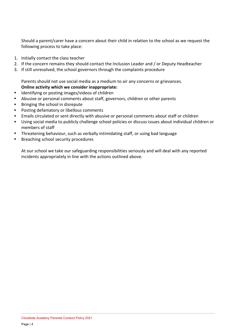Should a parent/carer have a concern about their child in relation to the school as we request the following process to take place:

- 1. Initially contact the class teacher
- 2. If the concern remains they should contact the Inclusion Leader and / or Deputy Headteacher
- 3. If still unresolved, the school governors through the complaints procedure

Parents should not use social media as a medium to air any concerns or grievances. Online activity which we consider inappropriate:

- Identifying or posting images/videos of children
- Abusive or personal comments about staff, governors, children or other parents
- Bringing the school in disrepute
- Posting defamatory or libellous comments
- Emails circulated or sent directly with abusive or personal comments about staff or children
- Using social media to publicly challenge school policies or discuss issues about individual children or members of staff
- Threatening behaviour, such as verbally intimidating staff, or using bad language
- Breaching school security procedures

At our school we take our safeguarding responsibilities seriously and will deal with any reported incidents appropriately in line with the actions outlined above.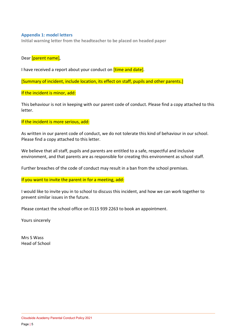## Appendix 1: model letters

Initial warning letter from the headteacher to be placed on headed paper

Dear [parent name],

I have received a report about your conduct on *[time and date]*.

[Summary of incident, include location, its effect on staff, pupils and other parents.]

If the incident is minor, add:

This behaviour is not in keeping with our parent code of conduct. Please find a copy attached to this letter.

If the incident is more serious, add:

As written in our parent code of conduct, we do not tolerate this kind of behaviour in our school. Please find a copy attached to this letter.

We believe that all staff, pupils and parents are entitled to a safe, respectful and inclusive environment, and that parents are as responsible for creating this environment as school staff.

Further breaches of the code of conduct may result in a ban from the school premises.

If you want to invite the parent in for a meeting, add:

I would like to invite you in to school to discuss this incident, and how we can work together to prevent similar issues in the future.

Please contact the school office on 0115 939 2263 to book an appointment.

Yours sincerely

Mrs S Wass Head of School